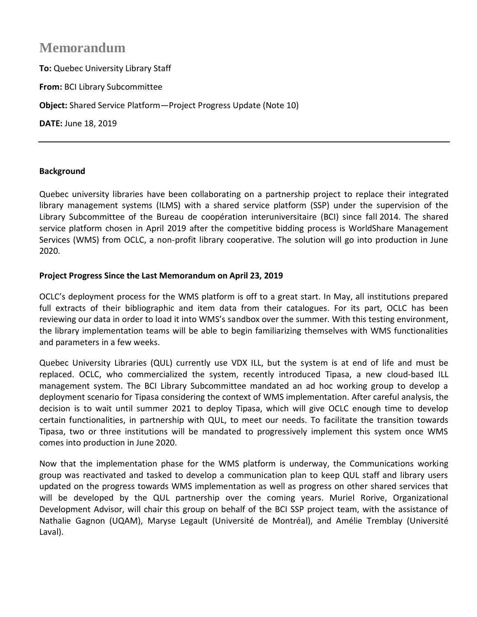## **Memorandum**

**To:** Quebec University Library Staff **From:** BCI Library Subcommittee **Object:** Shared Service Platform—Project Progress Update (Note 10) **DATE:** June 18, 2019

## **Background**

Quebec university libraries have been collaborating on a partnership project to replace their integrated library management systems (ILMS) with a shared service platform (SSP) under the supervision of the Library Subcommittee of the Bureau de coopération interuniversitaire (BCI) since fall 2014. The shared service platform chosen in April 2019 after the competitive bidding process is WorldShare Management Services (WMS) from OCLC, a non-profit library cooperative. The solution will go into production in June 2020.

## **Project Progress Since the Last Memorandum on April 23, 2019**

OCLC's deployment process for the WMS platform is off to a great start. In May, all institutions prepared full extracts of their bibliographic and item data from their catalogues. For its part, OCLC has been reviewing our data in order to load it into WMS's sandbox over the summer. With this testing environment, the library implementation teams will be able to begin familiarizing themselves with WMS functionalities and parameters in a few weeks.

Quebec University Libraries (QUL) currently use VDX ILL, but the system is at end of life and must be replaced. OCLC, who commercialized the system, recently introduced Tipasa, a new cloud-based ILL management system. The BCI Library Subcommittee mandated an ad hoc working group to develop a deployment scenario for Tipasa considering the context of WMS implementation. After careful analysis, the decision is to wait until summer 2021 to deploy Tipasa, which will give OCLC enough time to develop certain functionalities, in partnership with QUL, to meet our needs. To facilitate the transition towards Tipasa, two or three institutions will be mandated to progressively implement this system once WMS comes into production in June 2020.

Now that the implementation phase for the WMS platform is underway, the Communications working group was reactivated and tasked to develop a communication plan to keep QUL staff and library users updated on the progress towards WMS implementation as well as progress on other shared services that will be developed by the QUL partnership over the coming years. Muriel Rorive, Organizational Development Advisor, will chair this group on behalf of the BCI SSP project team, with the assistance of Nathalie Gagnon (UQAM), Maryse Legault (Université de Montréal), and Amélie Tremblay (Université Laval).